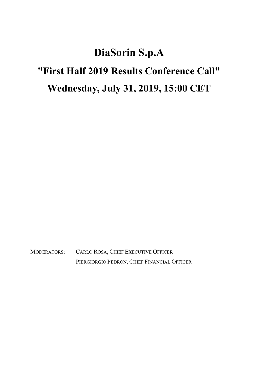## DiaSorin S.p.A "First Half 2019 Results Conference Call" Wednesday, July 31, 2019, 15:00 CET

MODERATORS: CARLO ROSA, CHIEF EXECUTIVE OFFICER PIERGIORGIO PEDRON, CHIEF FINANCIAL OFFICER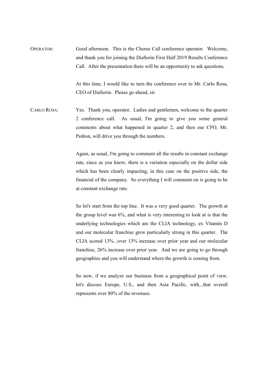OPERATOR: Good afternoon. This is the Chorus Call conference operator. Welcome, and thank you for joining the DiaSorin First Half 2019 Results Conference Call. After the presentation there will be an opportunity to ask questions.

> At this time, I would like to turn the conference over to Mr. Carlo Rosa, CEO of DiaSorin. Please go ahead, sir.

CARLO ROSA: Yes. Thank you, operator. Ladies and gentlemen, welcome to the quarter 2 conference call. As usual, I'm going to give you some general comments about what happened in quarter 2, and then our CFO, Mr. Pedron, will drive you through the numbers.

> Again, as usual, I'm going to comment all the results in constant exchange rate, since as you know, there is a variation especially on the dollar side which has been clearly impacting, in this case on the positive side, the financial of the company. So everything I will comment on is going to be at constant exchange rate.

> So let's start from the top line. It was a very good quarter. The growth at the group level was 6%, and what is very interesting to look at is that the underlying technologies which are the CLIA technology, ex Vitamin D and our molecular franchise grew particularly strong in this quarter. The CLIA scored 13%...over 13% increase over prior year and our molecular franchise, 26% increase over prior year. And we are going to go through geographies and you will understand where the growth is coming from.

> So now, if we analyze our business from a geographical point of view, let's discuss Europe, U.S., and then Asia Pacific, with...that overall represents over 80% of the revenues.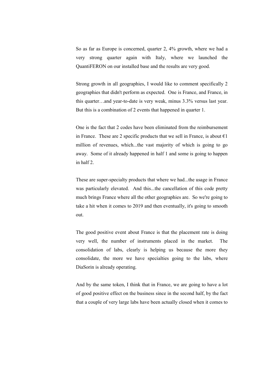So as far as Europe is concerned, quarter 2, 4% growth, where we had a very strong quarter again with Italy, where we launched the QuantiFERON on our installed base and the results are very good.

 Strong growth in all geographies, I would like to comment specifically 2 geographies that didn't perform as expected. One is France, and France, in this quarter…and year-to-date is very weak, minus 3.3% versus last year. But this is a combination of 2 events that happened in quarter 1.

 One is the fact that 2 codes have been eliminated from the reimbursement in France. These are 2 specific products that we sell in France, is about  $\epsilon$ 1 million of revenues, which...the vast majority of which is going to go away. Some of it already happened in half 1 and some is going to happen in half 2.

 These are super-specialty products that where we had...the usage in France was particularly elevated. And this...the cancellation of this code pretty much brings France where all the other geographies are. So we're going to take a hit when it comes to 2019 and then eventually, it's going to smooth out.

 The good positive event about France is that the placement rate is doing very well, the number of instruments placed in the market. The consolidation of labs, clearly is helping us because the more they consolidate, the more we have specialties going to the labs, where DiaSorin is already operating.

 And by the same token, I think that in France, we are going to have a lot of good positive effect on the business since in the second half, by the fact that a couple of very large labs have been actually closed when it comes to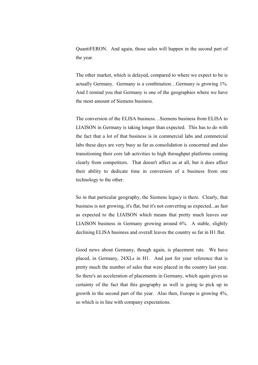QuantiFERON. And again, those sales will happen in the second part of the year.

 The other market, which is delayed, compared to where we expect to be is actually Germany. Germany is a combination…Germany is growing 1%. And I remind you that Germany is one of the geographies where we have the most amount of Siemens business.

 The conversion of the ELISA business…Siemens business from ELISA to LIAISON in Germany is taking longer than expected. This has to do with the fact that a lot of that business is in commercial labs and commercial labs these days are very busy as far as consolidation is concerned and also transitioning their core lab activities to high throughput platforms coming clearly from competitors. That doesn't affect us at all, but it does affect their ability to dedicate time in conversion of a business from one technology to the other.

 So in that particular geography, the Siemens legacy is there. Clearly, that business is not growing, it's flat, but it's not converting as expected...as fast as expected to the LIAISON which means that pretty much leaves our LIAISON business in Germany growing around 6%. A stable, slightly declining ELISA business and overall leaves the country so far in H1 flat.

 Good news about Germany, though again, is placement rate. We have placed, in Germany, 24XLs in H1. And just for your reference that is pretty much the number of sales that were placed in the country last year. So there's an acceleration of placements in Germany, which again gives us certainty of the fact that this geography as well is going to pick up in growth in the second part of the year. Also then, Europe is growing 4%, so which is in line with company expectations.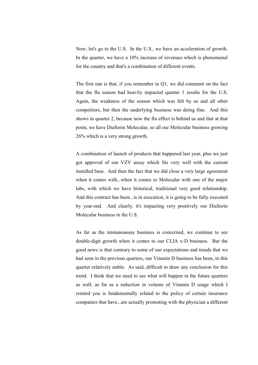Now, let's go to the U.S. In the U.S., we have an acceleration of growth. In the quarter, we have a 10% increase of revenues which is phenomenal for the country and that's a combination of different events.

 The first one is that, if you remember in Q1, we did comment on the fact that the flu season had heavily impacted quarter 1 results for the U.S. Again, the weakness of the season which was felt by us and all other competitors, but then the underlying business was doing fine. And this shows in quarter 2, because now the flu effect is behind us and that at that point, we have DiaSorin Molecular, so all our Molecular business growing 26% which is a very strong growth.

 A combination of launch of products that happened last year, plus we just got approval of our VZV assay which fits very well with the current installed base. And then the fact that we did close a very large agreement when it comes with...when it comes to Molecular with one of the major labs, with which we have historical, traditional very good relationship. And this contract has been...is in execution, it is going to be fully executed by year-end. And clearly, it's impacting very positively our DiaSorin Molecular business in the U.S.

 As far as the immunoassay business is concerned, we continue to see double-digit growth when it comes to our CLIA x-D business. But the good news is that contrary to some of our expectations and trends that we had seen in the previous quarters, our Vitamin D business has been, in this quarter relatively stable. As said, difficult to draw any conclusion for this trend. I think that we need to see what will happen in the future quarters as well, as far as a reduction in volume of Vitamin D usage which I remind you is fundamentally related to the policy of certain insurance companies that have...are actually promoting with the physician a different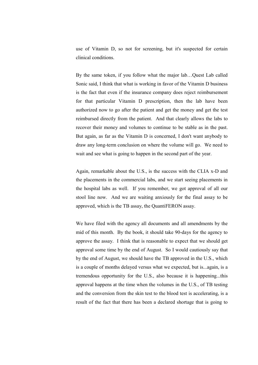use of Vitamin D, so not for screening, but it's suspected for certain clinical conditions.

 By the same token, if you follow what the major lab…Quest Lab called Sonic said, I think that what is working in favor of the Vitamin D business is the fact that even if the insurance company does reject reimbursement for that particular Vitamin D prescription, then the lab have been authorized now to go after the patient and get the money and get the test reimbursed directly from the patient. And that clearly allows the labs to recover their money and volumes to continue to be stable as in the past. But again, as far as the Vitamin D is concerned, I don't want anybody to draw any long-term conclusion on where the volume will go. We need to wait and see what is going to happen in the second part of the year.

 Again, remarkable about the U.S., is the success with the CLIA x-D and the placements in the commercial labs, and we start seeing placements in the hospital labs as well. If you remember, we got approval of all our stool line now. And we are waiting anxiously for the final assay to be approved, which is the TB assay, the QuantiFERON assay.

 We have filed with the agency all documents and all amendments by the mid of this month. By the book, it should take 90-days for the agency to approve the assay. I think that is reasonable to expect that we should get approval some time by the end of August. So I would cautiously say that by the end of August, we should have the TB approved in the U.S., which is a couple of months delayed versus what we expected, but is...again, is a tremendous opportunity for the U.S., also because it is happening...this approval happens at the time when the volumes in the U.S., of TB testing and the conversion from the skin test to the blood test is accelerating, is a result of the fact that there has been a declared shortage that is going to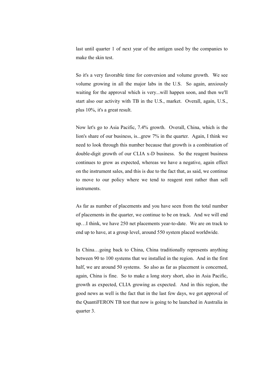last until quarter 1 of next year of the antigen used by the companies to make the skin test.

 So it's a very favorable time for conversion and volume growth. We see volume growing in all the major labs in the U.S. So again, anxiously waiting for the approval which is very...will happen soon, and then we'll start also our activity with TB in the U.S., market. Overall, again, U.S., plus 10%, it's a great result.

 Now let's go to Asia Pacific, 7.4% growth. Overall, China, which is the lion's share of our business, is...grew 7% in the quarter. Again, I think we need to look through this number because that growth is a combination of double-digit growth of our CLIA x-D business. So the reagent business continues to grow as expected, whereas we have a negative, again effect on the instrument sales, and this is due to the fact that, as said, we continue to move to our policy where we tend to reagent rent rather than sell instruments.

 As far as number of placements and you have seen from the total number of placements in the quarter, we continue to be on track. And we will end up…I think, we have 250 net placements year-to-date. We are on track to end up to have, at a group level, around 550 system placed worldwide.

In China...going back to China, China traditionally represents anything between 90 to 100 systems that we installed in the region. And in the first half, we are around 50 systems. So also as far as placement is concerned, again, China is fine. So to make a long story short, also in Asia Pacific, growth as expected, CLIA growing as expected. And in this region, the good news as well is the fact that in the last few days, we got approval of the QuantiFERON TB test that now is going to be launched in Australia in quarter 3.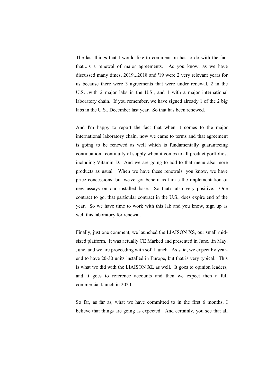The last things that I would like to comment on has to do with the fact that...is a renewal of major agreements. As you know, as we have discussed many times, 2019...2018 and '19 were 2 very relevant years for us because there were 3 agreements that were under renewal, 2 in the U.S…with 2 major labs in the U.S., and 1 with a major international laboratory chain. If you remember, we have signed already 1 of the 2 big labs in the U.S., December last year. So that has been renewed.

 And I'm happy to report the fact that when it comes to the major international laboratory chain, now we came to terms and that agreement is going to be renewed as well which is fundamentally guaranteeing continuation...continuity of supply when it comes to all product portfolios, including Vitamin D. And we are going to add to that menu also more products as usual. When we have these renewals, you know, we have price concessions, but we've got benefit as far as the implementation of new assays on our installed base. So that's also very positive. One contract to go, that particular contract in the U.S., does expire end of the year. So we have time to work with this lab and you know, sign up as well this laboratory for renewal.

 Finally, just one comment, we launched the LIAISON XS, our small midsized platform. It was actually CE Marked and presented in June...in May, June, and we are proceeding with soft launch. As said, we expect by yearend to have 20-30 units installed in Europe, but that is very typical. This is what we did with the LIAISON XL as well. It goes to opinion leaders, and it goes to reference accounts and then we expect then a full commercial launch in 2020.

 So far, as far as, what we have committed to in the first 6 months, I believe that things are going as expected. And certainly, you see that all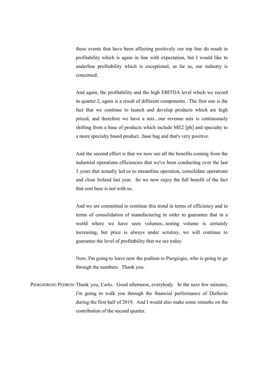these events that have been affecting positively our top line do result in profitability which is again in line with expectation, but I would like to underline profitability which is exceptional, as far as, our industry is concerned.

 And again, the profitability and the high EBITDA level which we record in quarter 2, again is a result of different components. The first one is the fact that we continue to launch and develop products which are high priced, and therefore we have a mix...our revenue mix is continuously shifting from a base of products which include ME2 [ph] and specialty to a more specialty based product...base bag and that's very positive.

 And the second effect is that we now see all the benefits coming from the industrial operations efficiencies that we've been conducting over the last 3 years that actually led us to streamline operation, consolidate operations and close Ireland last year. So we now enjoy the full benefit of the fact that cost base is not with us.

 And we are committed to continue this trend in terms of efficiency and in terms of consolidation of manufacturing in order to guarantee that in a world where we have seen volumes...testing volume is certainly increasing, but price is always under scrutiny, we will continue to guarantee the level of profitability that we see today.

 Now, I'm going to leave now the podium to Piergiogio, who is going to go through the numbers. Thank you.

PIERGIORGIO PEDRON: Thank you, Carlo. Good afternoon, everybody. In the next few minutes, I'm going to walk you through the financial performance of DiaSorin during the first half of 2019. And I would also make some remarks on the contribution of the second quarter.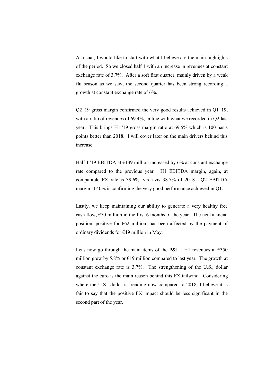As usual, I would like to start with what I believe are the main highlights of the period. So we closed half 1 with an increase in revenues at constant exchange rate of 3.7%. After a soft first quarter, mainly driven by a weak flu season as we saw, the second quarter has been strong recording a growth at constant exchange rate of 6%.

 Q2 '19 gross margin confirmed the very good results achieved in Q1 '19, with a ratio of revenues of 69.4%, in line with what we recorded in Q2 last year. This brings H1 '19 gross margin ratio at 69.5% which is 100 basis points better than 2018. I will cover later on the main drivers behind this increase.

Half 1 '19 EBITDA at  $E$ 139 million increased by 6% at constant exchange rate compared to the previous year. H1 EBITDA margin, again, at comparable FX rate is 39.6%, vis-à-vis 38.7% of 2018. Q2 EBITDA margin at 40% is confirming the very good performance achieved in Q1.

 Lastly, we keep maintaining our ability to generate a very healthy free cash flow,  $\epsilon$ 70 million in the first 6 months of the year. The net financial position, positive for  $\epsilon$ 62 million, has been affected by the payment of ordinary dividends for €49 million in May.

Let's now go through the main items of the P&L. H1 revenues at  $\epsilon$ 350 million grew by 5.8% or  $\epsilon$ 19 million compared to last year. The growth at constant exchange rate is 3.7%. The strengthening of the U.S., dollar against the euro is the main reason behind this FX tailwind. Considering where the U.S., dollar is trending now compared to 2018, I believe it is fair to say that the positive FX impact should be less significant in the second part of the year.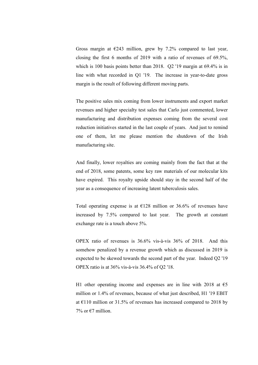Gross margin at  $\epsilon$ 243 million, grew by 7.2% compared to last year, closing the first 6 months of 2019 with a ratio of revenues of 69.5%, which is 100 basis points better than 2018. Q2 '19 margin at 69.4% is in line with what recorded in Q1 '19. The increase in year-to-date gross margin is the result of following different moving parts.

 The positive sales mix coming from lower instruments and export market revenues and higher specialty test sales that Carlo just commented, lower manufacturing and distribution expenses coming from the several cost reduction initiatives started in the last couple of years. And just to remind one of them, let me please mention the shutdown of the Irish manufacturing site.

 And finally, lower royalties are coming mainly from the fact that at the end of 2018, some patents, some key raw materials of our molecular kits have expired. This royalty upside should stay in the second half of the year as a consequence of increasing latent tuberculosis sales.

Total operating expense is at  $\epsilon$ 128 million or 36.6% of revenues have increased by 7.5% compared to last year. The growth at constant exchange rate is a touch above 5%.

 OPEX ratio of revenues is 36.6% vis-à-vis 36% of 2018. And this somehow penalized by a revenue growth which as discussed in 2019 is expected to be skewed towards the second part of the year. Indeed Q2 '19 OPEX ratio is at 36% vis-à-vis 36.4% of Q2 '18.

H1 other operating income and expenses are in line with 2018 at  $\epsilon$ 5 million or 1.4% of revenues, because of what just described, H1 '19 EBIT at  $\epsilon$ 110 million or 31.5% of revenues has increased compared to 2018 by 7% or  $\epsilon$ 7 million.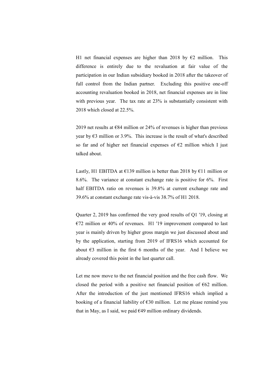H1 net financial expenses are higher than 2018 by  $\epsilon$ 2 million. This difference is entirely due to the revaluation at fair value of the participation in our Indian subsidiary booked in 2018 after the takeover of full control from the Indian partner. Excluding this positive one-off accounting revaluation booked in 2018, net financial expenses are in line with previous year. The tax rate at 23% is substantially consistent with 2018 which closed at 22.5%.

2019 net results at  $\epsilon$ 84 million or 24% of revenues is higher than previous year by  $\epsilon$ 3 million or 3.9%. This increase is the result of what's described so far and of higher net financial expenses of  $\epsilon$ 2 million which I just talked about.

Lastly, H1 EBITDA at  $\epsilon$ 139 million is better than 2018 by  $\epsilon$ 11 million or 8.6%. The variance at constant exchange rate is positive for 6%. First half EBITDA ratio on revenues is 39.8% at current exchange rate and 39.6% at constant exchange rate vis-à-vis 38.7% of H1 2018.

 Quarter 2, 2019 has confirmed the very good results of Q1 '19, closing at  $E$ 72 million or 40% of revenues. H1 '19 improvement compared to last year is mainly driven by higher gross margin we just discussed about and by the application, starting from 2019 of IFRS16 which accounted for about  $\epsilon$ 3 million in the first 6 months of the year. And I believe we already covered this point in the last quarter call.

 Let me now move to the net financial position and the free cash flow. We closed the period with a positive net financial position of  $\epsilon$ 62 million. After the introduction of the just mentioned IFRS16 which implied a booking of a financial liability of  $\epsilon$ 30 million. Let me please remind you that in May, as I said, we paid  $\epsilon$ 49 million ordinary dividends.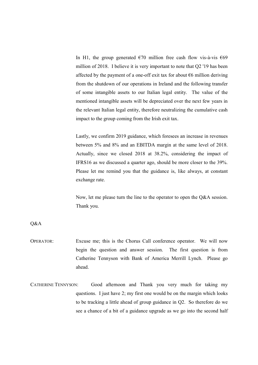In H1, the group generated  $\epsilon$  70 million free cash flow vis-à-vis  $\epsilon$ 69 million of 2018. I believe it is very important to note that Q2 '19 has been affected by the payment of a one-off exit tax for about  $\epsilon$ 6 million deriving from the shutdown of our operations in Ireland and the following transfer of some intangible assets to our Italian legal entity. The value of the mentioned intangible assets will be depreciated over the next few years in the relevant Italian legal entity, therefore neutralizing the cumulative cash impact to the group coming from the Irish exit tax.

 Lastly, we confirm 2019 guidance, which foresees an increase in revenues between 5% and 8% and an EBITDA margin at the same level of 2018. Actually, since we closed 2018 at 38.2%, considering the impact of IFRS16 as we discussed a quarter ago, should be more closer to the 39%. Please let me remind you that the guidance is, like always, at constant exchange rate.

 Now, let me please turn the line to the operator to open the Q&A session. Thank you.

Q&A

- OPERATOR: Excuse me; this is the Chorus Call conference operator. We will now begin the question and answer session. The first question is from Catherine Tennyson with Bank of America Merrill Lynch. Please go ahead.
- CATHERINE TENNYSON: Good afternoon and Thank you very much for taking my questions. I just have 2; my first one would be on the margin which looks to be tracking a little ahead of group guidance in Q2. So therefore do we see a chance of a bit of a guidance upgrade as we go into the second half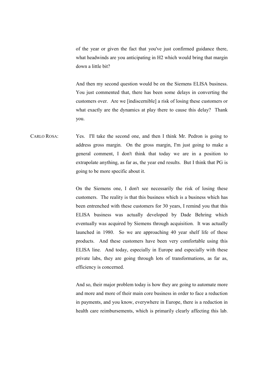of the year or given the fact that you've just confirmed guidance there, what headwinds are you anticipating in H2 which would bring that margin down a little bit?

 And then my second question would be on the Siemens ELISA business. You just commented that, there has been some delays in converting the customers over. Are we [indiscernible] a risk of losing these customers or what exactly are the dynamics at play there to cause this delay? Thank you.

CARLO ROSA: Yes. I'll take the second one, and then I think Mr. Pedron is going to address gross margin. On the gross margin, I'm just going to make a general comment, I don't think that today we are in a position to extrapolate anything, as far as, the year end results. But I think that PG is going to be more specific about it.

> On the Siemens one, I don't see necessarily the risk of losing these customers. The reality is that this business which is a business which has been entrenched with these customers for 30 years, I remind you that this ELISA business was actually developed by Dade Behring which eventually was acquired by Siemens through acquisition. It was actually launched in 1980. So we are approaching 40 year shelf life of these products. And these customers have been very comfortable using this ELISA line. And today, especially in Europe and especially with these private labs, they are going through lots of transformations, as far as, efficiency is concerned.

> And so, their major problem today is how they are going to automate more and more and more of their main core business in order to face a reduction in payments, and you know, everywhere in Europe, there is a reduction in health care reimbursements, which is primarily clearly affecting this lab.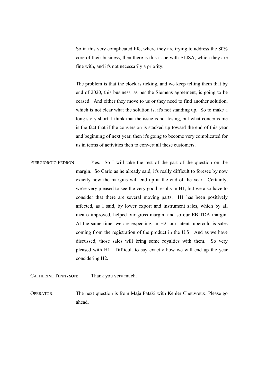So in this very complicated life, where they are trying to address the 80% core of their business, then there is this issue with ELISA, which they are fine with, and it's not necessarily a priority.

 The problem is that the clock is ticking, and we keep telling them that by end of 2020, this business, as per the Siemens agreement, is going to be ceased. And either they move to us or they need to find another solution, which is not clear what the solution is, it's not standing up. So to make a long story short, I think that the issue is not losing, but what concerns me is the fact that if the conversion is stacked up toward the end of this year and beginning of next year, then it's going to become very complicated for us in terms of activities then to convert all these customers.

PIERGIORGIO PEDRON: Yes. So I will take the rest of the part of the question on the margin. So Carlo as he already said, it's really difficult to foresee by now exactly how the margins will end up at the end of the year. Certainly, we're very pleased to see the very good results in H1, but we also have to consider that there are several moving parts. H1 has been positively affected, as I said, by lower export and instrument sales, which by all means improved, helped our gross margin, and so our EBITDA margin. At the same time, we are expecting, in H2, our latent tuberculosis sales coming from the registration of the product in the U.S. And as we have discussed, those sales will bring some royalties with them. So very pleased with H1. Difficult to say exactly how we will end up the year considering H2.

CATHERINE TENNYSON: Thank you very much.

OPERATOR: The next question is from Maja Pataki with Kepler Cheuvreux. Please go ahead.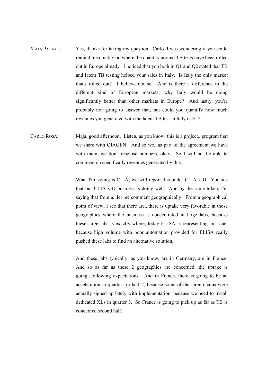- MAJA PATAKI: Yes, thanks for taking my question. Carlo, I was wondering if you could remind me quickly on where the quantity around TB tests have been rolled out in Europe already. I noticed that you both in Q1 and Q2 stated that TB and latent TB testing helped your sales in Italy. Is Italy the only market that's rolled out? I believe not so. And is there a difference in the different kind of European markets, why Italy would be doing significantly better than other markets in Europe? And lastly, you're probably not going to answer that, but could you quantify how much revenues you generated with the latent TB test in Italy in H1?
- CARLO ROSA: Maja, good afternoon. Listen, as you know, this is a project...program that we share with QIAGEN. And so we...as part of the agreement we have with them, we don't disclose numbers, okay. So I will not be able to comment on specifically revenues generated by this.

What I'm saying is CLIA; we will report this under CLIA x-D. You see that our CLIA x-D business is doing well. And by the same token, I'm saying that from a...let me comment geographically. From a geographical point of view, I see that there are...there is uptake very favorable in those geographies where the business is concentrated in large labs, because these large labs is exactly where, today ELISA is representing an issue, because high volume with poor automation provided for ELISA really pushed these labs to find an alternative solution.

 And these labs typically, as you know, are in Germany, are in France. And so as far as these 2 geographies are concerned, the uptake is going...following expectations. And in France, there is going to be an acceleration in quarter...in half 2, because some of the large chains were actually signed up lately with implementation, because we need to install dedicated XLs in quarter 3. So France is going to pick up as far as TB is concerned second half.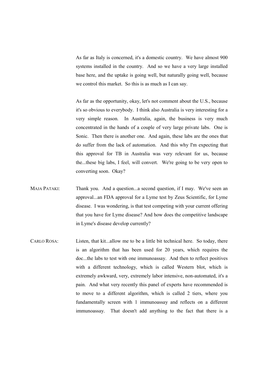As far as Italy is concerned, it's a domestic country. We have almost 900 systems installed in the country. And so we have a very large installed base here, and the uptake is going well, but naturally going well, because we control this market. So this is as much as I can say.

 As far as the opportunity, okay, let's not comment about the U.S., because it's so obvious to everybody. I think also Australia is very interesting for a very simple reason. In Australia, again, the business is very much concentrated in the hands of a couple of very large private labs. One is Sonic. Then there is another one. And again, these labs are the ones that do suffer from the lack of automation. And this why I'm expecting that this approval for TB in Australia was very relevant for us, because the...these big labs, I feel, will convert. We're going to be very open to converting soon. Okay?

- MAJA PATAKI: Thank you. And a question...a second question, if I may. We've seen an approval...an FDA approval for a Lyme test by Zeus Scientific, for Lyme disease. I was wondering, is that test competing with your current offering that you have for Lyme disease? And how does the competitive landscape in Lyme's disease develop currently?
- CARLO ROSA: Listen, that kit...allow me to be a little bit technical here. So today, there is an algorithm that has been used for 20 years, which requires the doc...the labs to test with one immunoassay. And then to reflect positives with a different technology, which is called Western blot, which is extremely awkward, very, extremely labor intensive, non-automated, it's a pain. And what very recently this panel of experts have recommended is to move to a different algorithm, which is called 2 tiers, where you fundamentally screen with 1 immunoassay and reflects on a different immunoassay. That doesn't add anything to the fact that there is a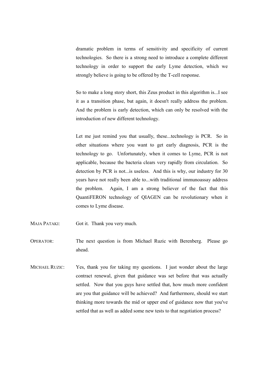dramatic problem in terms of sensitivity and specificity of current technologies. So there is a strong need to introduce a complete different technology in order to support the early Lyme detection, which we strongly believe is going to be offered by the T-cell response.

 So to make a long story short, this Zeus product in this algorithm is...I see it as a transition phase, but again, it doesn't really address the problem. And the problem is early detection, which can only be resolved with the introduction of new different technology.

 Let me just remind you that usually, these...technology is PCR. So in other situations where you want to get early diagnosis, PCR is the technology to go. Unfortunately, when it comes to Lyme, PCR is not applicable, because the bacteria clears very rapidly from circulation. So detection by PCR is not...is useless. And this is why, our industry for 30 years have not really been able to...with traditional immunoassay address the problem. Again, I am a strong believer of the fact that this QuantiFERON technology of QIAGEN can be revolutionary when it comes to Lyme disease.

- MAJA PATAKI: Got it. Thank you very much.
- OPERATOR: The next question is from Michael Ruzic with Berenberg. Please go ahead.
- MICHAEL RUZIC: Yes, thank you for taking my questions. I just wonder about the large contract renewal, given that guidance was set before that was actually settled. Now that you guys have settled that, how much more confident are you that guidance will be achieved? And furthermore, should we start thinking more towards the mid or upper end of guidance now that you've settled that as well as added some new tests to that negotiation process?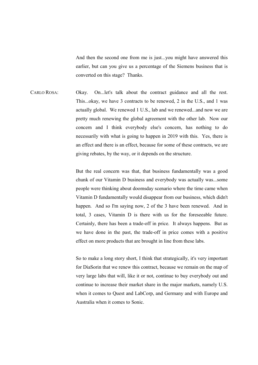And then the second one from me is just...you might have answered this earlier, but can you give us a percentage of the Siemens business that is converted on this stage? Thanks.

CARLO ROSA: Okay. On...let's talk about the contract guidance and all the rest. This...okay, we have 3 contracts to be renewed, 2 in the U.S., and 1 was actually global. We renewed 1 U.S., lab and we renewed...and now we are pretty much renewing the global agreement with the other lab. Now our concern and I think everybody else's concern, has nothing to do necessarily with what is going to happen in 2019 with this. Yes, there is an effect and there is an effect, because for some of these contracts, we are giving rebates, by the way, or it depends on the structure.

> But the real concern was that, that business fundamentally was a good chunk of our Vitamin D business and everybody was actually was...some people were thinking about doomsday scenario where the time came when Vitamin D fundamentally would disappear from our business, which didn't happen. And so I'm saying now, 2 of the 3 have been renewed. And in total, 3 cases, Vitamin D is there with us for the foreseeable future. Certainly, there has been a trade-off in price. It always happens. But as we have done in the past, the trade-off in price comes with a positive effect on more products that are brought in line from these labs.

> So to make a long story short, I think that strategically, it's very important for DiaSorin that we renew this contract, because we remain on the map of very large labs that will, like it or not, continue to buy everybody out and continue to increase their market share in the major markets, namely U.S. when it comes to Quest and LabCorp, and Germany and with Europe and Australia when it comes to Sonic.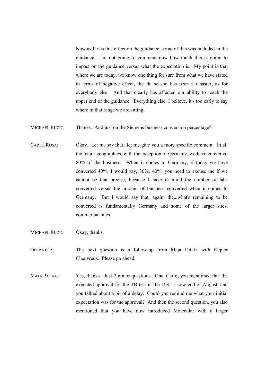Now as far as this effect on the guidance, some of this was included in the guidance. I'm not going to comment now how much this is going to impact on the guidance versus what the expectation is. My point is that where we are today, we know one thing for sure from what we have stated in terms of negative effect, the flu season has been a disaster, as for everybody else. And that clearly has affected our ability to reach the upper end of the guidance. Everything else, I believe, it's too early to say where in that range we are sitting.

- MICHAEL RUZIC: Thanks. And just on the Siemens business conversion percentage?
- CARLO ROSA: Okay. Let me say that...let me give you a more specific comment. In all the major geographies, with the exception of Germany, we have converted 80% of the business. When it comes to Germany, if today we have converted 40%, I would say, 30%, 40%, you need to excuse me if we cannot be that precise, because I have in mind the number of labs converted versus the amount of business converted when it comes to Germany. But I would say that, again, the...what's remaining to be converted is fundamentally Germany and some of the larger sites, commercial sites.
- MICHAEL RUZIC: Okay, thanks.
- OPERATOR: The next question is a follow-up from Maja Pataki with Kepler Cheuvreux. Please go ahead.
- MAJA PATAKI: Yes, thanks. Just 2 minor questions. One, Carlo, you mentioned that the expected approval for the TB test in the U.S. is now end of August, and you talked about a bit of a delay. Could you remind me what your initial expectation was for the approval? And then the second question, you also mentioned that you have now introduced Molecular with a larger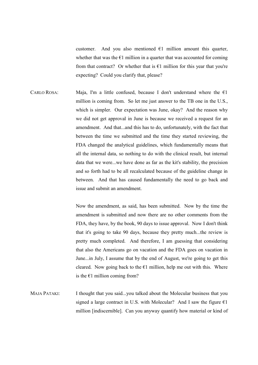customer. And you also mentioned  $\epsilon$ 1 million amount this quarter, whether that was the  $E1$  million in a quarter that was accounted for coming from that contract? Or whether that is  $E1$  million for this year that you're expecting? Could you clarify that, please?

CARLO ROSA: Maja, I'm a little confused, because I don't understand where the  $\epsilon$ 1 million is coming from. So let me just answer to the TB one in the U.S., which is simpler. Our expectation was June, okay? And the reason why we did not get approval in June is because we received a request for an amendment. And that...and this has to do, unfortunately, with the fact that between the time we submitted and the time they started reviewing, the FDA changed the analytical guidelines, which fundamentally means that all the internal data, so nothing to do with the clinical result, but internal data that we were...we have done as far as the kit's stability, the precision and so forth had to be all recalculated because of the guideline change in between. And that has caused fundamentally the need to go back and issue and submit an amendment.

> Now the amendment, as said, has been submitted. Now by the time the amendment is submitted and now there are no other comments from the FDA, they have, by the book, 90 days to issue approval. Now I don't think that it's going to take 90 days, because they pretty much...the review is pretty much completed. And therefore, I am guessing that considering that also the Americans go on vacation and the FDA goes on vacation in June...in July, I assume that by the end of August, we're going to get this cleared. Now going back to the  $E1$  million, help me out with this. Where is the  $E1$  million coming from?

MAJA PATAKI: I thought that you said...you talked about the Molecular business that you signed a large contract in U.S. with Molecular? And I saw the figure  $\epsilon$ 1 million [indiscernible]. Can you anyway quantify how material or kind of